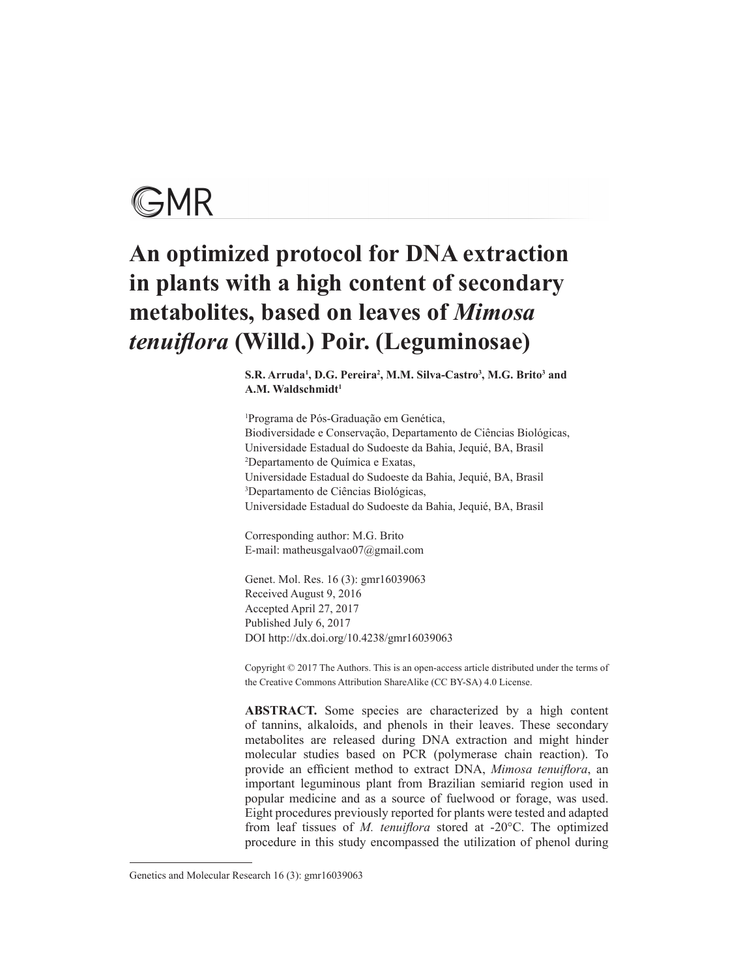

# **An optimized protocol for DNA extraction in plants with a high content of secondary metabolites, based on leaves of** *Mimosa tenuiflora* **(Willd.) Poir. (Leguminosae)**

 $\mathbf{S.R.}$  Arruda<sup>1</sup>, D.G. Pereira<sup>2</sup>, M.M. Silva-Castro<sup>3</sup>, M.G. Brito<sup>3</sup> and A.M. Waldschmidt<sup>1</sup>

1 Programa de Pós-Graduação em Genética, Biodiversidade e Conservação, Departamento de Ciências Biológicas, Universidade Estadual do Sudoeste da Bahia, Jequié, BA, Brasil 2 Departamento de Química e Exatas, Universidade Estadual do Sudoeste da Bahia, Jequié, BA, Brasil 3 Departamento de Ciências Biológicas, Universidade Estadual do Sudoeste da Bahia, Jequié, BA, Brasil

Corresponding author: M.G. Brito E-mail: matheusgalvao07@gmail.com

Genet. Mol. Res. 16 (3): gmr16039063 Received August 9, 2016 Accepted April 27, 2017 Published July 6, 2017 DOI http://dx.doi.org/10.4238/gmr16039063

Copyright © 2017 The Authors. This is an open-access article distributed under the terms of the Creative Commons Attribution ShareAlike (CC BY-SA) 4.0 License.

**ABSTRACT.** Some species are characterized by a high content of tannins, alkaloids, and phenols in their leaves. These secondary metabolites are released during DNA extraction and might hinder molecular studies based on PCR (polymerase chain reaction). To provide an efficient method to extract DNA, *Mimosa tenuiflora*, an important leguminous plant from Brazilian semiarid region used in popular medicine and as a source of fuelwood or forage, was used. Eight procedures previously reported for plants were tested and adapted from leaf tissues of *M. tenuiflora* stored at -20°C. The optimized procedure in this study encompassed the utilization of phenol during

Genetics and Molecular Research 16 (3): gmr16039063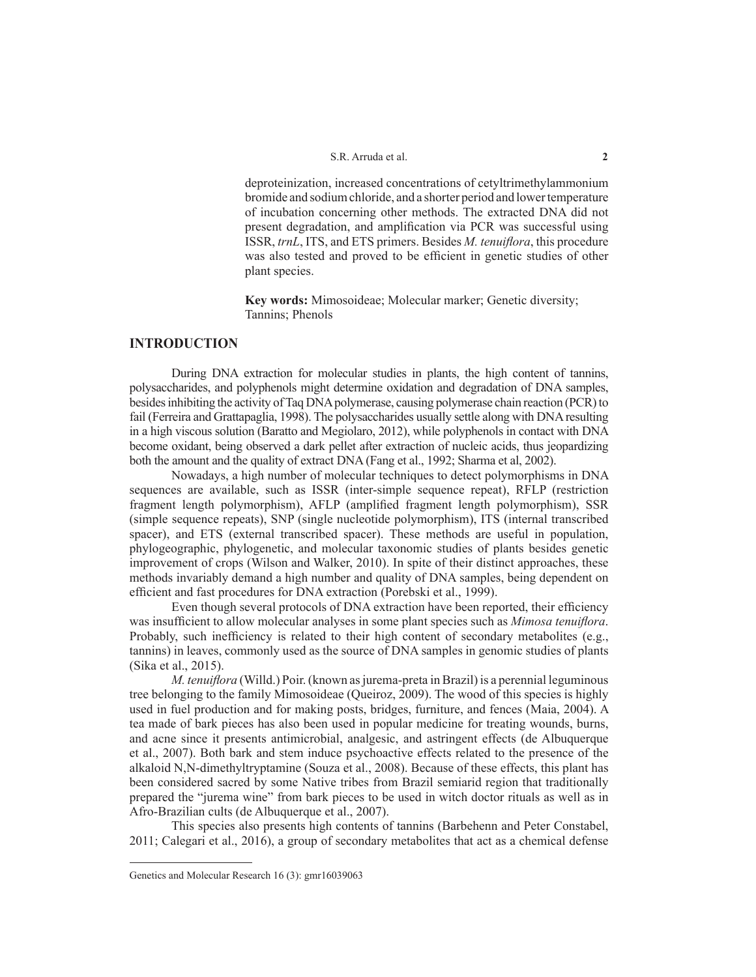deproteinization, increased concentrations of cetyltrimethylammonium bromide and sodium chloride, and a shorter period and lower temperature of incubation concerning other methods. The extracted DNA did not present degradation, and amplification via PCR was successful using ISSR, *trnL*, ITS, and ETS primers. Besides *M. tenuiflora*, this procedure was also tested and proved to be efficient in genetic studies of other plant species.

**Key words:** Mimosoideae; Molecular marker; Genetic diversity; Tannins; Phenols

# **INTRODUCTION**

During DNA extraction for molecular studies in plants, the high content of tannins, polysaccharides, and polyphenols might determine oxidation and degradation of DNA samples, besides inhibiting the activity of Taq DNA polymerase, causing polymerase chain reaction (PCR) to fail (Ferreira and Grattapaglia, 1998). The polysaccharides usually settle along with DNA resulting in a high viscous solution (Baratto and Megiolaro, 2012), while polyphenols in contact with DNA become oxidant, being observed a dark pellet after extraction of nucleic acids, thus jeopardizing both the amount and the quality of extract DNA (Fang et al., 1992; Sharma et al, 2002).

Nowadays, a high number of molecular techniques to detect polymorphisms in DNA sequences are available, such as ISSR (inter-simple sequence repeat), RFLP (restriction fragment length polymorphism), AFLP (amplified fragment length polymorphism), SSR (simple sequence repeats), SNP (single nucleotide polymorphism), ITS (internal transcribed spacer), and ETS (external transcribed spacer). These methods are useful in population, phylogeographic, phylogenetic, and molecular taxonomic studies of plants besides genetic improvement of crops (Wilson and Walker, 2010). In spite of their distinct approaches, these methods invariably demand a high number and quality of DNA samples, being dependent on efficient and fast procedures for DNA extraction (Porebski et al., 1999).

Even though several protocols of DNA extraction have been reported, their efficiency was insufficient to allow molecular analyses in some plant species such as *Mimosa tenuiflora*. Probably, such inefficiency is related to their high content of secondary metabolites (e.g., tannins) in leaves, commonly used as the source of DNA samples in genomic studies of plants (Sika et al., 2015).

*M. tenuiflora* (Willd.) Poir. (known as jurema-preta in Brazil) is a perennial leguminous tree belonging to the family Mimosoideae (Queiroz, 2009). The wood of this species is highly used in fuel production and for making posts, bridges, furniture, and fences (Maia, 2004). A tea made of bark pieces has also been used in popular medicine for treating wounds, burns, and acne since it presents antimicrobial, analgesic, and astringent effects (de Albuquerque et al., 2007). Both bark and stem induce psychoactive effects related to the presence of the alkaloid N,N-dimethyltryptamine (Souza et al., 2008). Because of these effects, this plant has been considered sacred by some Native tribes from Brazil semiarid region that traditionally prepared the "jurema wine" from bark pieces to be used in witch doctor rituals as well as in Afro-Brazilian cults (de Albuquerque et al., 2007).

This species also presents high contents of tannins (Barbehenn and Peter Constabel, 2011; Calegari et al., 2016), a group of secondary metabolites that act as a chemical defense

Genetics and Molecular Research 16 (3): gmr16039063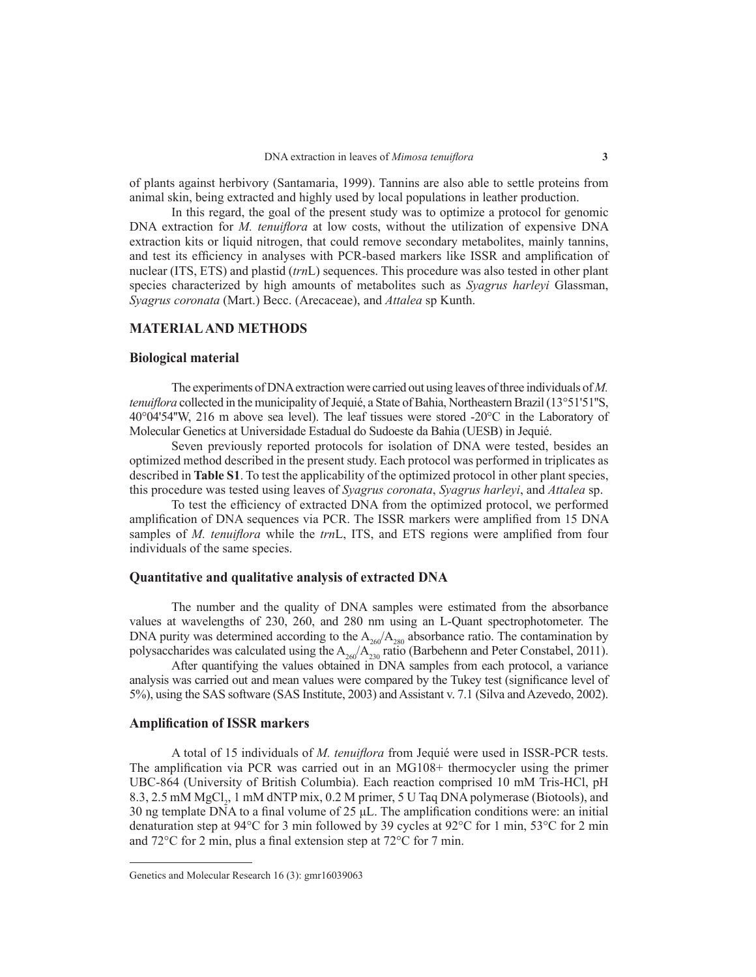of plants against herbivory (Santamaria, 1999). Tannins are also able to settle proteins from animal skin, being extracted and highly used by local populations in leather production.

In this regard, the goal of the present study was to optimize a protocol for genomic DNA extraction for *M. tenuiflora* at low costs, without the utilization of expensive DNA extraction kits or liquid nitrogen, that could remove secondary metabolites, mainly tannins, and test its efficiency in analyses with PCR-based markers like ISSR and amplification of nuclear (ITS, ETS) and plastid (*trn*L) sequences. This procedure was also tested in other plant species characterized by high amounts of metabolites such as *Syagrus harleyi* Glassman, *Syagrus coronata* (Mart.) Becc. (Arecaceae), and *Attalea* sp Kunth.

## **MATERIAL AND METHODS**

#### **Biological material**

The experiments of DNA extraction were carried out using leaves of three individuals of *M. tenuiflora* collected in the municipality of Jequié, a State of Bahia, Northeastern Brazil (13°51'S1"S, 40°04'54''W, 216 m above sea level). The leaf tissues were stored -20°C in the Laboratory of Molecular Genetics at Universidade Estadual do Sudoeste da Bahia (UESB) in Jequié.

Seven previously reported protocols for isolation of DNA were tested, besides an optimized method described in the present study. Each protocol was performed in triplicates as described in **Table S1**. To test the applicability of the optimized protocol in other plant species, this procedure was tested using leaves of *Syagrus coronata*, *Syagrus harleyi*, and *Attalea* sp.

To test the efficiency of extracted DNA from the optimized protocol, we performed amplification of DNA sequences via PCR. The ISSR markers were amplified from 15 DNA samples of *M. tenuiflora* while the *trn*L, ITS, and ETS regions were amplified from four individuals of the same species.

## **Quantitative and qualitative analysis of extracted DNA**

The number and the quality of DNA samples were estimated from the absorbance values at wavelengths of 230, 260, and 280 nm using an L-Quant spectrophotometer. The DNA purity was determined according to the  $A_{260}/A_{280}$  absorbance ratio. The contamination by polysaccharides was calculated using the  $A_{260}/A_{230}$  ratio (Barbehenn and Peter Constabel, 2011).

After quantifying the values obtained in DNA samples from each protocol, a variance analysis was carried out and mean values were compared by the Tukey test (significance level of 5%), using the SAS software (SAS Institute, 2003) and Assistant v. 7.1 (Silva and Azevedo, 2002).

#### **Amplification of ISSR markers**

A total of 15 individuals of *M. tenuiflora* from Jequié were used in ISSR-PCR tests. The amplification via PCR was carried out in an MG108+ thermocycler using the primer UBC-864 (University of British Columbia). Each reaction comprised 10 mM Tris-HCl, pH 8.3, 2.5 mM MgCl<sub>2</sub>, 1 mM dNTP mix, 0.2 M primer, 5 U Taq DNA polymerase (Biotools), and 30 ng template DNA to a final volume of 25  $\mu$ L. The amplification conditions were: an initial denaturation step at 94°C for 3 min followed by 39 cycles at 92°C for 1 min, 53°C for 2 min and 72°C for 2 min, plus a final extension step at 72°C for 7 min.

Genetics and Molecular Research 16 (3): gmr16039063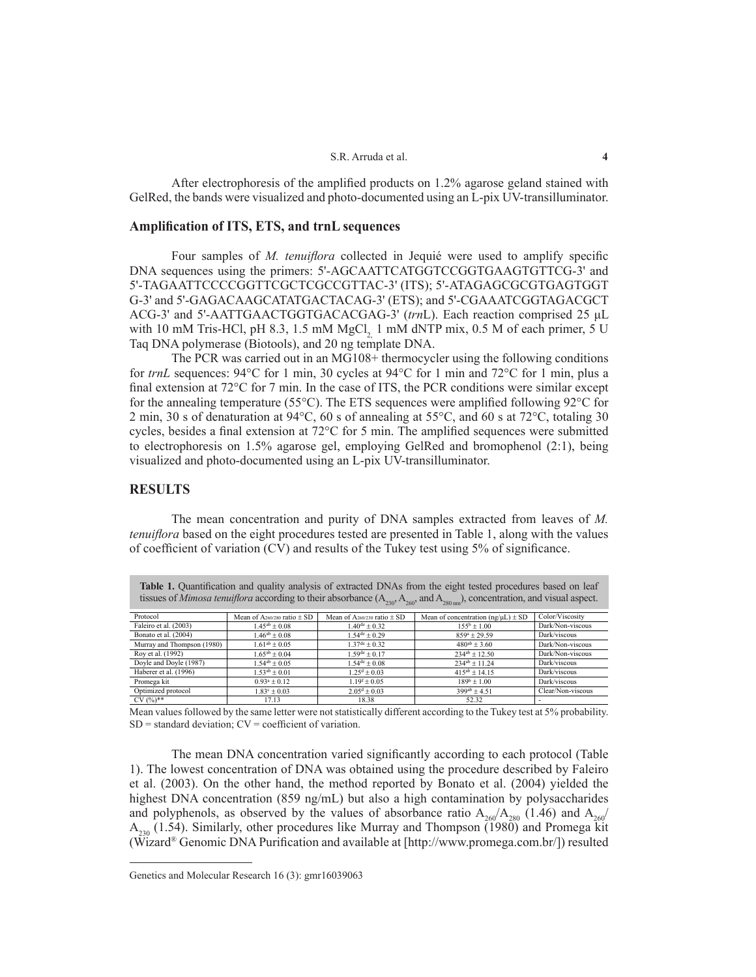#### S.R. Arruda et al. **4**

After electrophoresis of the amplified products on 1.2% agarose geland stained with GelRed, the bands were visualized and photo-documented using an L-pix UV-transilluminator.

#### **Amplification of ITS, ETS, and trnL sequences**

Four samples of *M. tenuiflora* collected in Jequié were used to amplify specific DNA sequences using the primers: 5'-AGCAATTCATGGTCCGGTGAAGTGTTCG-3' and 5'-TAGAATTCCCCGGTTCGCTCGCCGTTAC-3' (ITS); 5'-ATAGAGCGCGTGAGTGGT G-3' and 5'-GAGACAAGCATATGACTACAG-3' (ETS); and 5'-CGAAATCGGTAGACGCT ACG-3' and 5'-AATTGAACTGGTGACACGAG-3' (*trn*L). Each reaction comprised 25 μL with 10 mM Tris-HCl, pH 8.3, 1.5 mM MgCl, 1 mM dNTP mix, 0.5 M of each primer, 5 U Taq DNA polymerase (Biotools), and 20 ng template DNA.

The PCR was carried out in an MG108+ thermocycler using the following conditions for *trnL* sequences: 94°C for 1 min, 30 cycles at 94°C for 1 min and 72°C for 1 min, plus a final extension at 72°C for 7 min. In the case of ITS, the PCR conditions were similar except for the annealing temperature (55 $^{\circ}$ C). The ETS sequences were amplified following 92 $^{\circ}$ C for 2 min, 30 s of denaturation at 94°C, 60 s of annealing at 55°C, and 60 s at 72°C, totaling 30 cycles, besides a final extension at 72°C for 5 min. The amplified sequences were submitted to electrophoresis on 1.5% agarose gel, employing GelRed and bromophenol (2:1), being visualized and photo-documented using an L-pix UV-transilluminator.

# **RESULTS**

The mean concentration and purity of DNA samples extracted from leaves of *M. tenuiflora* based on the eight procedures tested are presented in Table 1, along with the values of coefficient of variation (CV) and results of the Tukey test using 5% of significance.

**Table 1.** Quantification and quality analysis of extracted DNAs from the eight tested procedures based on leaf

| tissues of <i>Mimosa tenuiflora</i> according to their absorbance $(A_{230}, A_{260}, and A_{280 nm})$ , concentration, and visual aspect. |                                             |                                             |                                        |                   |  |  |
|--------------------------------------------------------------------------------------------------------------------------------------------|---------------------------------------------|---------------------------------------------|----------------------------------------|-------------------|--|--|
| Protocol                                                                                                                                   | Mean of A <sub>260/280</sub> ratio $\pm$ SD | Mean of A <sub>260/230</sub> ratio $\pm$ SD | Mean of concentration $(ng/μL) \pm SD$ | Color/Viscosity   |  |  |
| Faleiro et al. (2003)                                                                                                                      | $1.45^{ab} \pm 0.08$                        | $1.40^{\text{de}} \pm 0.32$                 | $155^{\rm b} \pm 1.00$                 | Dark/Non-viscous  |  |  |
| Bonato et al. (2004)                                                                                                                       | $1.46^{ab} \pm 0.08$                        | $1.54^{\text{de}} \pm 0.29$                 | $859^a + 2959$                         | Dark/viscous      |  |  |
| Murray and Thompson (1980)                                                                                                                 | $1.61^{ab} \pm 0.05$                        | $1.37de \pm 0.32$                           | $480^{ab} + 360$                       | Dark/Non-viscous  |  |  |
| Roy et al. (1992)                                                                                                                          | $1.65^{ab} \pm 0.04$                        | $1.59de \pm 0.17$                           | $234^{ab} + 12.50$                     | Dark/Non-viscous  |  |  |
| Doyle and Doyle (1987)                                                                                                                     | $1.54^{ab} + 0.05$                          | $1.54^{\text{de}} \pm 0.08$                 | $234^{ab} + 1124$                      | Dark/viscous      |  |  |
| Haberer et al. (1996)                                                                                                                      | $1.53^{ab} \pm 0.01$                        | $1.25^d \pm 0.03$                           | $415^{ab} \pm 14.15$                   | Dark/viscous      |  |  |
| Promega kit                                                                                                                                | $0.93^a \pm 0.12$                           | $1.19^{\rm f} \pm 0.05$                     | $189^b + 100$                          | Dark/viscous      |  |  |
| Optimized protocol                                                                                                                         | $1.83^{\circ} \pm 0.03$                     | $2.05^{\text{d}} \pm 0.03$                  | $399^{ab} \pm 4.51$                    | Clear/Non-viscous |  |  |
| $C(X, Y) \leq C(X, Y)$                                                                                                                     | 17.12                                       | 10.20                                       | $\sim$ $\sim$                          |                   |  |  |

Optimized protocol 1.83<sup>c</sup> ± 0.03 2.05<sup>d</sup> ± 0.03 399<sup>ab</sup> ± 4.51 Clear/Non-viscous<br>CV (%)\*\* 17.13 18.38 52.32 -

Mean values followed by the same letter were not statistically different according to the Tukey test at 5% probability.  $SD = standard deviation$ ;  $CV = coefficient of variation$ .

The mean DNA concentration varied significantly according to each protocol (Table 1). The lowest concentration of DNA was obtained using the procedure described by Faleiro et al. (2003). On the other hand, the method reported by Bonato et al. (2004) yielded the highest DNA concentration (859 ng/mL) but also a high contamination by polysaccharides and polyphenols, as observed by the values of absorbance ratio  $A_{260}/A_{280}$  (1.46) and  $A_{260}/A_{280}$  $A_{230}$  (1.54). Similarly, other procedures like Murray and Thompson (1980) and Promega kit (Wizard® Genomic DNA Purification and available at [http://www.promega.com.br/]) resulted

Genetics and Molecular Research 16 (3): gmr16039063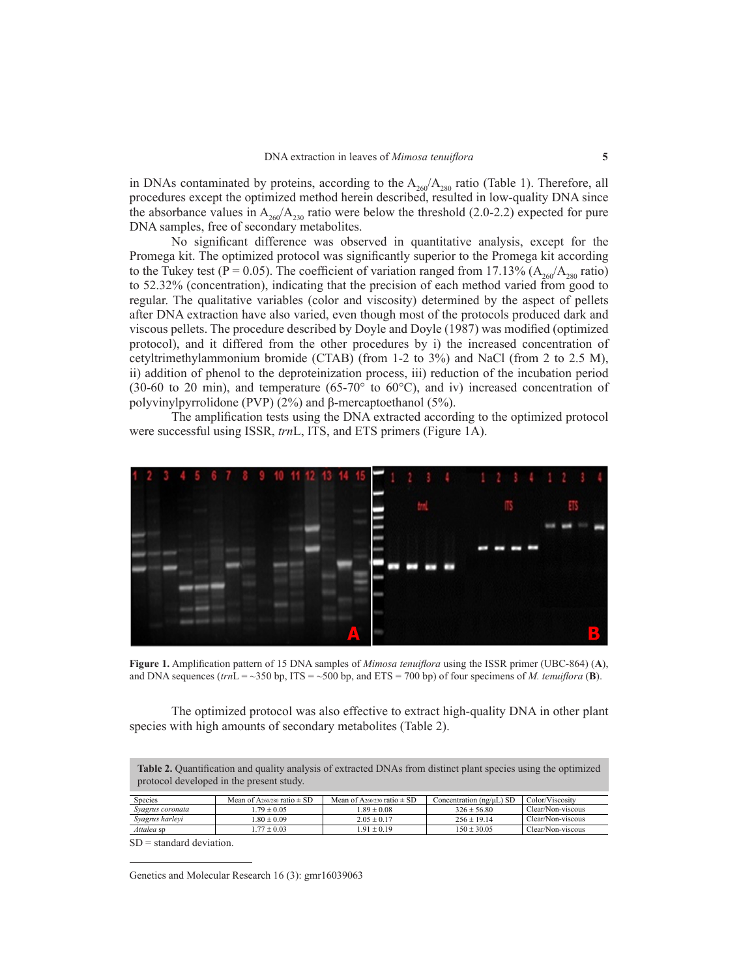in DNAs contaminated by proteins, according to the  $A_{260}/A_{280}$  ratio (Table 1). Therefore, all procedures except the optimized method herein described, resulted in low-quality DNA since the absorbance values in  $A_{260}/A_{230}$  ratio were below the threshold (2.0-2.2) expected for pure DNA samples, free of secondary metabolites.

No significant difference was observed in quantitative analysis, except for the Promega kit. The optimized protocol was significantly superior to the Promega kit according to the Tukey test (P = 0.05). The coefficient of variation ranged from 17.13% ( $A_{260}/A_{280}$  ratio) to 52.32% (concentration), indicating that the precision of each method varied from good to regular. The qualitative variables (color and viscosity) determined by the aspect of pellets after DNA extraction have also varied, even though most of the protocols produced dark and viscous pellets. The procedure described by Doyle and Doyle (1987) was modified (optimized protocol), and it differed from the other procedures by i) the increased concentration of cetyltrimethylammonium bromide (CTAB) (from 1-2 to 3%) and NaCl (from 2 to 2.5 M), ii) addition of phenol to the deproteinization process, iii) reduction of the incubation period (30-60 to 20 min), and temperature (65-70 $\degree$  to 60 $\degree$ C), and iv) increased concentration of polyvinylpyrrolidone (PVP) (2%) and β-mercaptoethanol (5%).

The amplification tests using the DNA extracted according to the optimized protocol were successful using ISSR, *trn*L, ITS, and ETS primers (Figure 1A).



**Figure 1.** Amplification pattern of 15 DNA samples of *Mimosa tenuiflora* using the ISSR primer (UBC-864) (**A**), and DNA sequences ( $trn = \sim 350$  bp, ITS =  $\sim 500$  bp, and ETS = 700 bp) of four specimens of *M. tenuiflora* (**B**).

The optimized protocol was also effective to extract high-quality DNA in other plant species with high amounts of secondary metabolites (Table 2).

**Table 2.** Quantification and quality analysis of extracted DNAs from distinct plant species using the optimized protocol developed in the present study.

| <b>Species</b>   | Mean of A <sub>260/280</sub> ratio $\pm$ SD | Mean of A <sub>260/230</sub> ratio $\pm$ SD | Concentration $(ng/µL)$ SD | Color/Viscosity   |
|------------------|---------------------------------------------|---------------------------------------------|----------------------------|-------------------|
| Syagrus coronata | $79 + 0.05$                                 | $89 + 0.08$                                 | $326 + 5680$               | Clear/Non-viscous |
| Syagrus harleyi  | $80 + 0.09$                                 | $2.05 + 0.17$                               | $256 + 1914$               | Clear/Non-viscous |
| Attalea sp       | $.77 \pm 0.03$                              | $191 + 019$                                 | $150 + 3005$               | Clear/Non-viscous |

SD = standard deviation.

Genetics and Molecular Research 16 (3): gmr16039063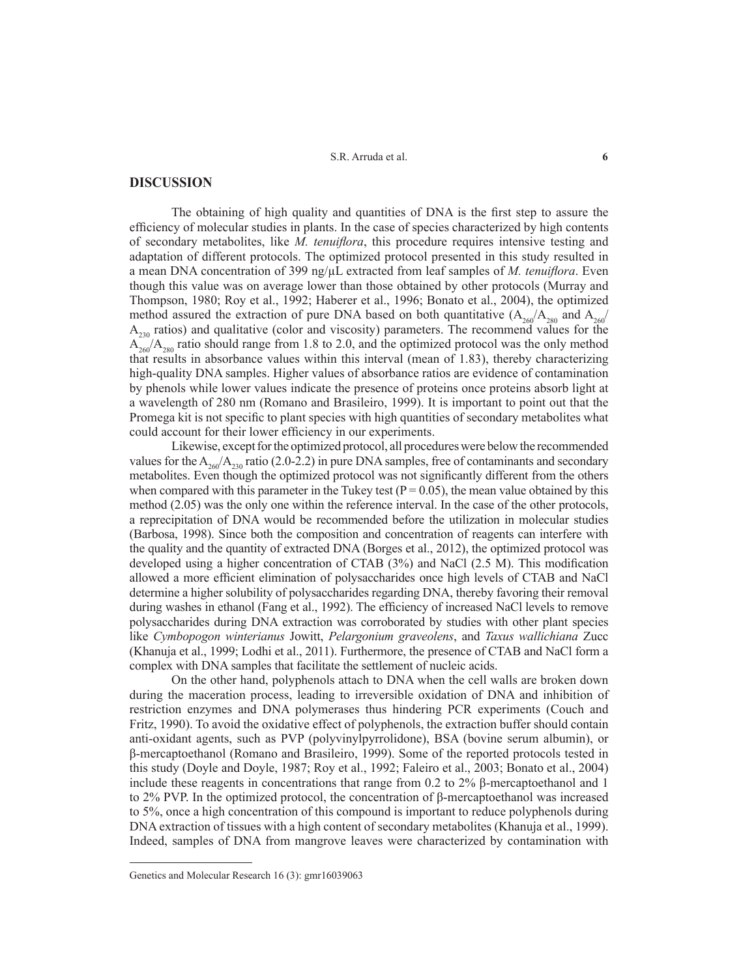S.R. Arruda et al. **6**

## **DISCUSSION**

The obtaining of high quality and quantities of DNA is the first step to assure the efficiency of molecular studies in plants. In the case of species characterized by high contents of secondary metabolites, like *M. tenuiflora*, this procedure requires intensive testing and adaptation of different protocols. The optimized protocol presented in this study resulted in a mean DNA concentration of 399 ng/µL extracted from leaf samples of *M. tenuiflora*. Even though this value was on average lower than those obtained by other protocols (Murray and Thompson, 1980; Roy et al., 1992; Haberer et al., 1996; Bonato et al., 2004), the optimized method assured the extraction of pure DNA based on both quantitative  $(A_{260}/A_{280})$  and  $A_{260}/A_{280}$  $A_{230}$  ratios) and qualitative (color and viscosity) parameters. The recommend values for the  $\widetilde{A}_{260}$ <sup>7</sup>/ $A_{280}$  ratio should range from 1.8 to 2.0, and the optimized protocol was the only method that results in absorbance values within this interval (mean of 1.83), thereby characterizing high-quality DNA samples. Higher values of absorbance ratios are evidence of contamination by phenols while lower values indicate the presence of proteins once proteins absorb light at a wavelength of 280 nm (Romano and Brasileiro, 1999). It is important to point out that the Promega kit is not specific to plant species with high quantities of secondary metabolites what could account for their lower efficiency in our experiments.

Likewise, except for the optimized protocol, all procedures were below the recommended values for the  $A_{260}/A_{230}$  ratio (2.0-2.2) in pure DNA samples, free of contaminants and secondary metabolites. Even though the optimized protocol was not significantly different from the others when compared with this parameter in the Tukey test ( $P = 0.05$ ), the mean value obtained by this method (2.05) was the only one within the reference interval. In the case of the other protocols, a reprecipitation of DNA would be recommended before the utilization in molecular studies (Barbosa, 1998). Since both the composition and concentration of reagents can interfere with the quality and the quantity of extracted DNA (Borges et al., 2012), the optimized protocol was developed using a higher concentration of CTAB (3%) and NaCl (2.5 M). This modification allowed a more efficient elimination of polysaccharides once high levels of CTAB and NaCl determine a higher solubility of polysaccharides regarding DNA, thereby favoring their removal during washes in ethanol (Fang et al., 1992). The efficiency of increased NaCl levels to remove polysaccharides during DNA extraction was corroborated by studies with other plant species like *Cymbopogon winterianus* Jowitt, *Pelargonium graveolens*, and *Taxus wallichiana* Zucc (Khanuja et al., 1999; Lodhi et al., 2011). Furthermore, the presence of CTAB and NaCl form a complex with DNA samples that facilitate the settlement of nucleic acids.

On the other hand, polyphenols attach to DNA when the cell walls are broken down during the maceration process, leading to irreversible oxidation of DNA and inhibition of restriction enzymes and DNA polymerases thus hindering PCR experiments (Couch and Fritz, 1990). To avoid the oxidative effect of polyphenols, the extraction buffer should contain anti-oxidant agents, such as PVP (polyvinylpyrrolidone), BSA (bovine serum albumin), or β-mercaptoethanol (Romano and Brasileiro, 1999). Some of the reported protocols tested in this study (Doyle and Doyle, 1987; Roy et al., 1992; Faleiro et al., 2003; Bonato et al., 2004) include these reagents in concentrations that range from 0.2 to 2% β-mercaptoethanol and 1 to 2% PVP. In the optimized protocol, the concentration of β-mercaptoethanol was increased to 5%, once a high concentration of this compound is important to reduce polyphenols during DNA extraction of tissues with a high content of secondary metabolites (Khanuja et al., 1999). Indeed, samples of DNA from mangrove leaves were characterized by contamination with

Genetics and Molecular Research 16 (3): gmr16039063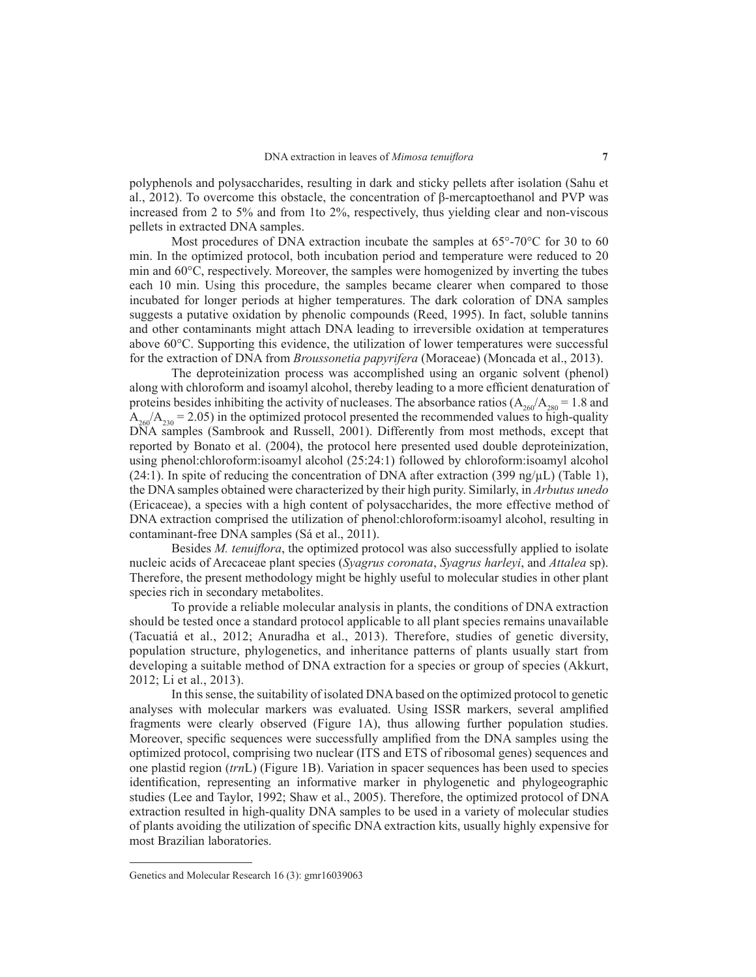polyphenols and polysaccharides, resulting in dark and sticky pellets after isolation (Sahu et al., 2012). To overcome this obstacle, the concentration of β-mercaptoethanol and PVP was increased from 2 to 5% and from 1to 2%, respectively, thus yielding clear and non-viscous pellets in extracted DNA samples.

Most procedures of DNA extraction incubate the samples at  $65^{\circ}$ -70 $^{\circ}$ C for 30 to 60 min. In the optimized protocol, both incubation period and temperature were reduced to 20 min and 60°C, respectively. Moreover, the samples were homogenized by inverting the tubes each 10 min. Using this procedure, the samples became clearer when compared to those incubated for longer periods at higher temperatures. The dark coloration of DNA samples suggests a putative oxidation by phenolic compounds (Reed, 1995). In fact, soluble tannins and other contaminants might attach DNA leading to irreversible oxidation at temperatures above 60°C. Supporting this evidence, the utilization of lower temperatures were successful for the extraction of DNA from *Broussonetia papyrifera* (Moraceae) (Moncada et al., 2013).

The deproteinization process was accomplished using an organic solvent (phenol) along with chloroform and isoamyl alcohol, thereby leading to a more efficient denaturation of proteins besides inhibiting the activity of nucleases. The absorbance ratios  $(A_{260}/A_{280} = 1.8$  and  $A_{260}/A_{230} = 2.05$ ) in the optimized protocol presented the recommended values to high-quality DNA samples (Sambrook and Russell, 2001). Differently from most methods, except that reported by Bonato et al. (2004), the protocol here presented used double deproteinization, using phenol:chloroform:isoamyl alcohol (25:24:1) followed by chloroform:isoamyl alcohol (24:1). In spite of reducing the concentration of DNA after extraction (399 ng/ $\mu$ L) (Table 1), the DNA samples obtained were characterized by their high purity. Similarly, in *Arbutus unedo* (Ericaceae), a species with a high content of polysaccharides, the more effective method of DNA extraction comprised the utilization of phenol:chloroform:isoamyl alcohol, resulting in contaminant-free DNA samples (Sá et al., 2011).

Besides *M. tenuiflora*, the optimized protocol was also successfully applied to isolate nucleic acids of Arecaceae plant species (*Syagrus coronata*, *Syagrus harleyi*, and *Attalea* sp). Therefore, the present methodology might be highly useful to molecular studies in other plant species rich in secondary metabolites.

To provide a reliable molecular analysis in plants, the conditions of DNA extraction should be tested once a standard protocol applicable to all plant species remains unavailable (Tacuatiá et al., 2012; Anuradha et al., 2013). Therefore, studies of genetic diversity, population structure, phylogenetics, and inheritance patterns of plants usually start from developing a suitable method of DNA extraction for a species or group of species (Akkurt, 2012; Li et al., 2013).

In this sense, the suitability of isolated DNA based on the optimized protocol to genetic analyses with molecular markers was evaluated. Using ISSR markers, several amplified fragments were clearly observed (Figure 1A), thus allowing further population studies. Moreover, specific sequences were successfully amplified from the DNA samples using the optimized protocol, comprising two nuclear (ITS and ETS of ribosomal genes) sequences and one plastid region (*trn*L) (Figure 1B). Variation in spacer sequences has been used to species identification, representing an informative marker in phylogenetic and phylogeographic studies (Lee and Taylor, 1992; Shaw et al., 2005). Therefore, the optimized protocol of DNA extraction resulted in high-quality DNA samples to be used in a variety of molecular studies of plants avoiding the utilization of specific DNA extraction kits, usually highly expensive for most Brazilian laboratories.

Genetics and Molecular Research 16 (3): gmr16039063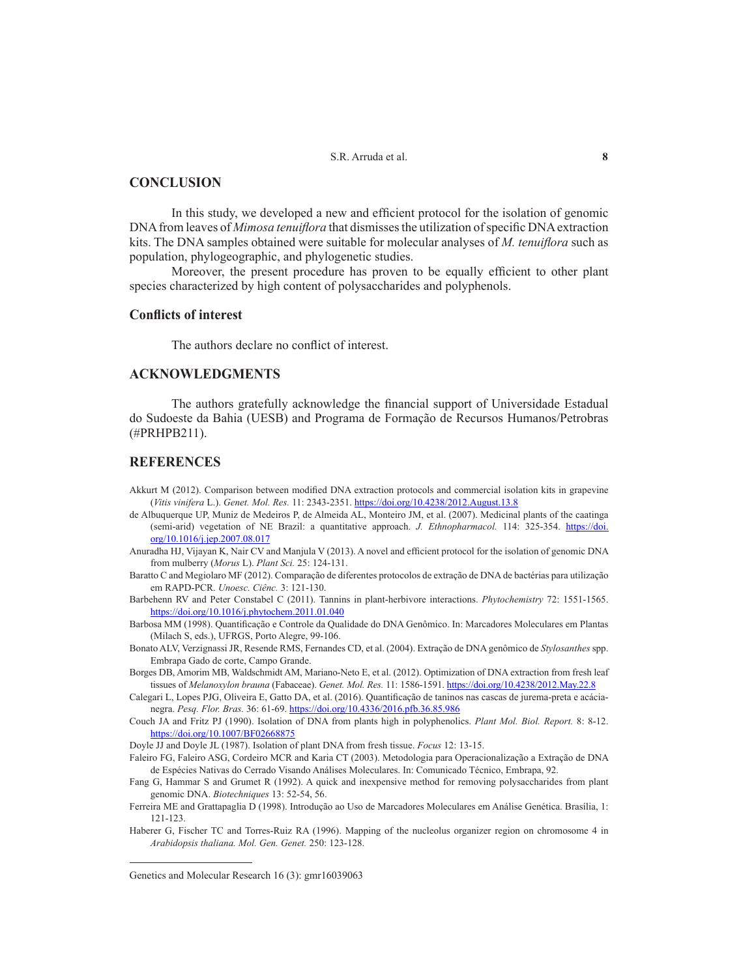S.R. Arruda et al. **8**

# **CONCLUSION**

In this study, we developed a new and efficient protocol for the isolation of genomic DNA from leaves of *Mimosa tenuiflora* that dismisses the utilization of specific DNA extraction kits. The DNA samples obtained were suitable for molecular analyses of *M. tenuiflora* such as population, phylogeographic, and phylogenetic studies.

Moreover, the present procedure has proven to be equally efficient to other plant species characterized by high content of polysaccharides and polyphenols.

#### **Conflicts of interest**

The authors declare no conflict of interest.

# **ACKNOWLEDGMENTS**

The authors gratefully acknowledge the financial support of Universidade Estadual do Sudoeste da Bahia (UESB) and Programa de Formação de Recursos Humanos/Petrobras (#PRHPB211).

## **REFERENCES**

- Akkurt M (2012). Comparison between modified DNA extraction protocols and commercial isolation kits in grapevine (*Vitis vinifera* L.). *Genet. Mol. Res.* 11: 2343-2351. https://doi.org/10.4238/2012.August.13.8
- de Albuquerque UP, Muniz de Medeiros P, de Almeida AL, Monteiro JM, et al. (2007). Medicinal plants of the caatinga (semi-arid) vegetation of NE Brazil: a quantitative approach. *J. Ethnopharmacol.* 114: 325-354. https://doi. org/10.1016/j.jep.2007.08.017
- Anuradha HJ, Vijayan K, Nair CV and Manjula V (2013). A novel and efficient protocol for the isolation of genomic DNA from mulberry (*Morus* L). *Plant Sci.* 25: 124-131.
- Baratto C and Megiolaro MF (2012). Comparação de diferentes protocolos de extração de DNA de bactérias para utilização em RAPD-PCR. *Unoesc. Ciênc.* 3: 121-130.
- Barbehenn RV and Peter Constabel C (2011). Tannins in plant-herbivore interactions. *Phytochemistry* 72: 1551-1565. https://doi.org/10.1016/j.phytochem.2011.01.040
- Barbosa MM (1998). Quantificação e Controle da Qualidade do DNA Genômico. In: Marcadores Moleculares em Plantas (Milach S, eds.), UFRGS, Porto Alegre, 99-106.
- Bonato ALV, Verzignassi JR, Resende RMS, Fernandes CD, et al. (2004). Extração de DNA genômico de *Stylosanthes* spp. Embrapa Gado de corte, Campo Grande.
- Borges DB, Amorim MB, Waldschmidt AM, Mariano-Neto E, et al. (2012). Optimization of DNA extraction from fresh leaf tissues of *Melanoxylon brauna* (Fabaceae). *Genet. Mol. Res.* 11: 1586-1591. https://doi.org/10.4238/2012.May.22.8
- Calegari L, Lopes PJG, Oliveira E, Gatto DA, et al. (2016). Quantificação de taninos nas cascas de jurema-preta e acácianegra. *Pesq. Flor. Bras.* 36: 61-69. https://doi.org/10.4336/2016.pfb.36.85.986
- Couch JA and Fritz PJ (1990). Isolation of DNA from plants high in polyphenolics. *Plant Mol. Biol. Report.* 8: 8-12. https://doi.org/10.1007/BF02668875

Doyle JJ and Doyle JL (1987). Isolation of plant DNA from fresh tissue. *Focus* 12: 13-15.

- Faleiro FG, Faleiro ASG, Cordeiro MCR and Karia CT (2003). Metodologia para Operacionalização a Extração de DNA de Espécies Nativas do Cerrado Visando Análises Moleculares. In: Comunicado Técnico, Embrapa, 92.
- Fang G, Hammar S and Grumet R (1992). A quick and inexpensive method for removing polysaccharides from plant genomic DNA. *Biotechniques* 13: 52-54, 56.
- Ferreira ME and Grattapaglia D (1998). Introdução ao Uso de Marcadores Moleculares em Análise Genética. Brasília, 1: 121-123.
- Haberer G, Fischer TC and Torres-Ruiz RA (1996). Mapping of the nucleolus organizer region on chromosome 4 in *Arabidopsis thaliana. Mol. Gen. Genet.* 250: 123-128.

Genetics and Molecular Research 16 (3): gmr16039063